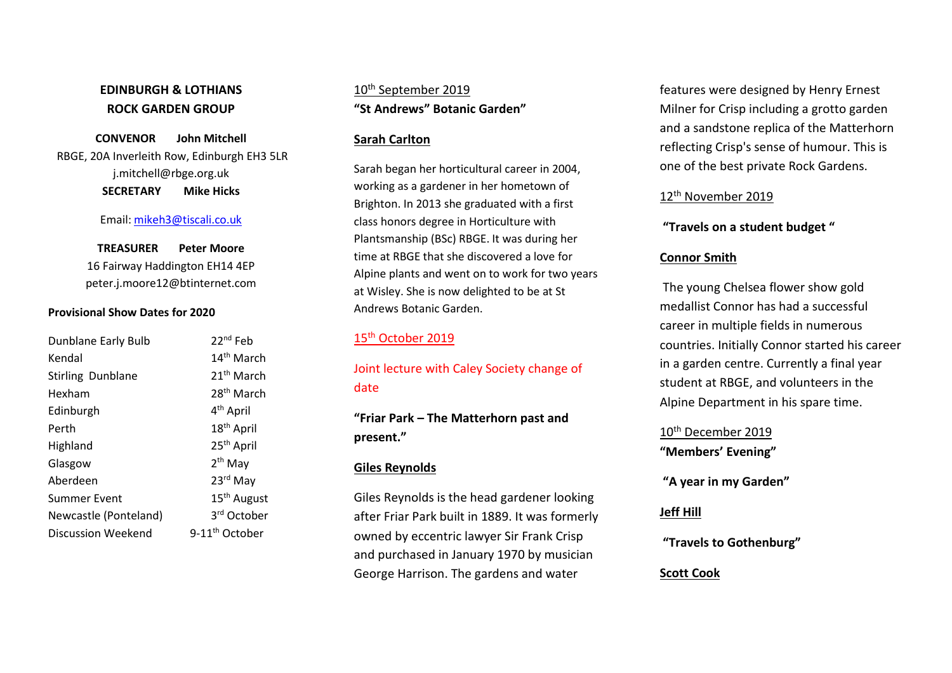## EDINBURGH & LOTHIANS ROCK GARDEN GROUP

CONVENOR John Mitchell RBGE, 20A Inverleith Row, Edinburgh EH3 5LR j.mitchell@rbge.org.uk SECRETARY Mike Hicks

#### Email: mikeh3@tiscali.co.uk

TREASURER Peter Moore 16 Fairway Haddington EH14 4EP peter.j.moore12@btinternet.com

#### Provisional Show Dates for 2020

| Dunblane Early Bulb      | 22 <sup>nd</sup> Feb       |
|--------------------------|----------------------------|
| Kendal                   | 14 <sup>th</sup> March     |
| <b>Stirling Dunblane</b> | 21 <sup>th</sup> March     |
| Hexham                   | 28 <sup>th</sup> March     |
| Edinburgh                | 4 <sup>th</sup> April      |
| Perth                    | 18 <sup>th</sup> April     |
| Highland                 | 25 <sup>th</sup> April     |
| Glasgow                  | $2th$ May                  |
| Aberdeen                 | 23rd May                   |
| <b>Summer Event</b>      | 15 <sup>th</sup> August    |
| Newcastle (Ponteland)    | 3 <sup>rd</sup> October    |
| Discussion Weekend       | 9-11 <sup>th</sup> October |

10<sup>th</sup> September 2019 "St Andrews" Botanic Garden"

#### Sarah Carlton

Sarah began her horticultural career in 2004, working as a gardener in her hometown of Brighton. In 2013 she graduated with a first class honors degree in Horticulture with Plantsmanship (BSc) RBGE. It was during her time at RBGE that she discovered a love for Alpine plants and went on to work for two years at Wisley. She is now delighted to be at St Andrews Botanic Garden.

### 15<sup>th</sup> October 2019

# Joint lecture with Caley Society change of date

# "Friar Park – The Matterhorn past and present."

### Giles Reynolds

Giles Reynolds is the head gardener looking after Friar Park built in 1889. It was formerly owned by eccentric lawyer Sir Frank Crisp and purchased in January 1970 by musician George Harrison. The gardens and water

features were designed by Henry Ernest Milner for Crisp including a grotto garden and a sandstone replica of the Matterhorn reflecting Crisp's sense of humour. This is one of the best private Rock Gardens.

#### 12<sup>th</sup> November 2019

### "Travels on a student budget "

### Connor Smith

 The young Chelsea flower show gold medallist Connor has had a successful career in multiple fields in numerous countries. Initially Connor started his career in a garden centre. Currently a final year student at RBGE, and volunteers in the Alpine Department in his spare time.

# 10<sup>th</sup> December 2019 "Members' Evening"

"A year in my Garden"

### Jeff Hill

"Travels to Gothenburg"

### Scott Cook